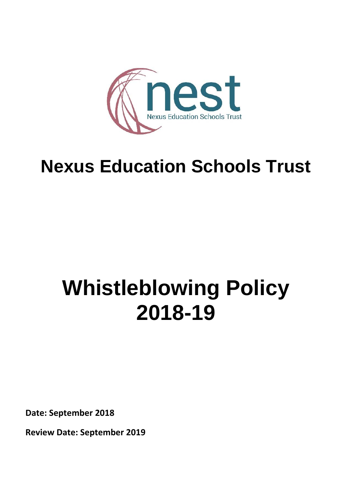

# **Nexus Education Schools Trust**

# **Whistleblowing Policy 2018-19**

**Date: September 2018**

**Review Date: September 2019**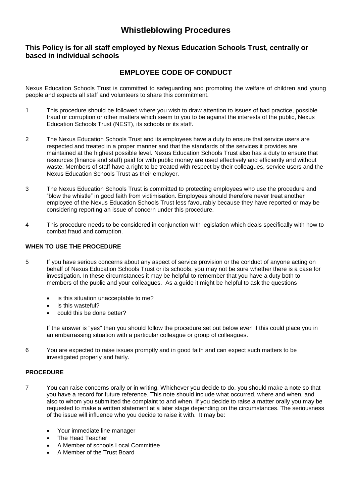# **Whistleblowing Procedures**

#### **This Policy is for all staff employed by Nexus Education Schools Trust, centrally or based in individual schools**

### **EMPLOYEE CODE OF CONDUCT**

Nexus Education Schools Trust is committed to safeguarding and promoting the welfare of children and young people and expects all staff and volunteers to share this commitment.

- 1 This procedure should be followed where you wish to draw attention to issues of bad practice, possible fraud or corruption or other matters which seem to you to be against the interests of the public, Nexus Education Schools Trust (NEST), its schools or its staff.
- 2 The Nexus Education Schools Trust and its employees have a duty to ensure that service users are respected and treated in a proper manner and that the standards of the services it provides are maintained at the highest possible level. Nexus Education Schools Trust also has a duty to ensure that resources (finance and staff) paid for with public money are used effectively and efficiently and without waste. Members of staff have a right to be treated with respect by their colleagues, service users and the Nexus Education Schools Trust as their employer.
- 3 The Nexus Education Schools Trust is committed to protecting employees who use the procedure and "blow the whistle" in good faith from victimisation. Employees should therefore never treat another employee of the Nexus Education Schools Trust less favourably because they have reported or may be considering reporting an issue of concern under this procedure.
- 4 This procedure needs to be considered in conjunction with legislation which deals specifically with how to combat fraud and corruption.

#### **WHEN TO USE THE PROCEDURE**

- 5 If you have serious concerns about any aspect of service provision or the conduct of anyone acting on behalf of Nexus Education Schools Trust or its schools, you may not be sure whether there is a case for investigation. In these circumstances it may be helpful to remember that you have a duty both to members of the public and your colleagues. As a guide it might be helpful to ask the questions
	- is this situation unacceptable to me?
	- is this wasteful?
	- could this be done better?

If the answer is "yes" then you should follow the procedure set out below even if this could place you in an embarrassing situation with a particular colleague or group of colleagues.

6 You are expected to raise issues promptly and in good faith and can expect such matters to be investigated properly and fairly.

#### **PROCEDURE**

- 7 You can raise concerns orally or in writing. Whichever you decide to do, you should make a note so that you have a record for future reference. This note should include what occurred, where and when, and also to whom you submitted the complaint to and when. If you decide to raise a matter orally you may be requested to make a written statement at a later stage depending on the circumstances. The seriousness of the issue will influence who you decide to raise it with. It may be:
	- Your immediate line manager
	- The Head Teacher
	- A Member of schools Local Committee
	- A Member of the Trust Board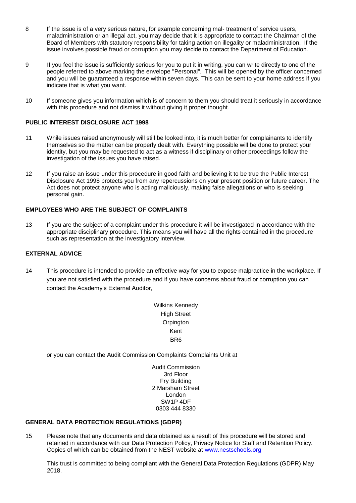- 8 If the issue is of a very serious nature, for example concerning mal- treatment of service users, maladministration or an illegal act, you may decide that it is appropriate to contact the Chairman of the Board of Members with statutory responsibility for taking action on illegality or maladministration. If the issue involves possible fraud or corruption you may decide to contact the Department of Education.
- 9 If you feel the issue is sufficiently serious for you to put it in writing, you can write directly to one of the people referred to above marking the envelope "Personal". This will be opened by the officer concerned and you will be guaranteed a response within seven days. This can be sent to your home address if you indicate that is what you want.
- 10 If someone gives you information which is of concern to them you should treat it seriously in accordance with this procedure and not dismiss it without giving it proper thought.

#### **PUBLIC INTEREST DISCLOSURE ACT 1998**

- 11 While issues raised anonymously will still be looked into, it is much better for complainants to identify themselves so the matter can be properly dealt with. Everything possible will be done to protect your identity, but you may be requested to act as a witness if disciplinary or other proceedings follow the investigation of the issues you have raised.
- 12 If you raise an issue under this procedure in good faith and believing it to be true the Public Interest Disclosure Act 1998 protects you from any repercussions on your present position or future career. The Act does not protect anyone who is acting maliciously, making false allegations or who is seeking personal gain.

#### **EMPLOYEES WHO ARE THE SUBJECT OF COMPLAINTS**

13 If you are the subject of a complaint under this procedure it will be investigated in accordance with the appropriate disciplinary procedure. This means you will have all the rights contained in the procedure such as representation at the investigatory interview.

#### **EXTERNAL ADVICE**

14 This procedure is intended to provide an effective way for you to expose malpractice in the workplace. If you are not satisfied with the procedure and if you have concerns about fraud or corruption you can contact the Academy's External Auditor,

> Wilkins Kennedy High Street **Orpington** Kent BR6

or you can contact the Audit Commission Complaints Complaints Unit at

Audit Commission 3rd Floor Fry Building 2 Marsham Street London SW1P 4DF 0303 444 8330

#### **GENERAL DATA PROTECTION REGULATIONS (GDPR)**

15 Please note that any documents and data obtained as a result of this procedure will be stored and retained in accordance with our Data Protection Policy, Privacy Notice for Staff and Retention Policy. Copies of which can be obtained from the NEST website at [www.nestschools.org](http://www.nestschools.org/)

This trust is committed to being compliant with the General Data Protection Regulations (GDPR) May 2018.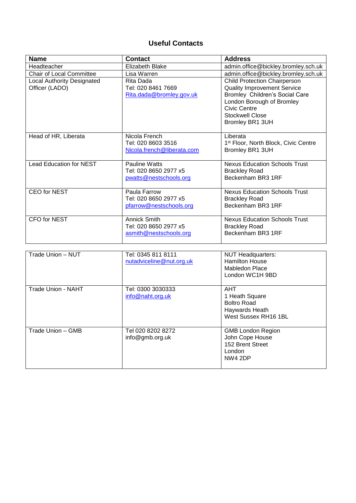## **Useful Contacts**

| <b>Name</b>                                         | <b>Contact</b>                                                         | <b>Address</b>                                                                                                                                                                                        |
|-----------------------------------------------------|------------------------------------------------------------------------|-------------------------------------------------------------------------------------------------------------------------------------------------------------------------------------------------------|
| Headteacher                                         | <b>Elizabeth Blake</b>                                                 | admin.office@bickley.bromley.sch.uk                                                                                                                                                                   |
| <b>Chair of Local Committee</b>                     | Lisa Warren                                                            | admin.office@bickley.bromley.sch.uk                                                                                                                                                                   |
| <b>Local Authority Designated</b><br>Officer (LADO) | Rita Dada<br>Tel: 020 8461 7669<br>Rita.dada@bromley.gov.uk            | <b>Child Protection Chairperson</b><br><b>Quality Improvement Service</b><br>Bromley Children's Social Care<br>London Borough of Bromley<br><b>Civic Centre</b><br>Stockwell Close<br>Bromley BR1 3UH |
| Head of HR, Liberata                                | Nicola French<br>Tel: 020 8603 3516<br>Nicola.french@liberata.com      | Liberata<br>1 <sup>st</sup> Floor, North Block, Civic Centre<br>Bromley BR1 3UH                                                                                                                       |
| <b>Lead Education for NEST</b>                      | Pauline Watts<br>Tel: 020 8650 2977 x5<br>pwatts@nestschools.org       | <b>Nexus Education Schools Trust</b><br><b>Brackley Road</b><br>Beckenham BR3 1RF                                                                                                                     |
| <b>CEO</b> for NEST                                 | Paula Farrow<br>Tel: 020 8650 2977 x5<br>pfarrow@nestschools.org       | <b>Nexus Education Schools Trust</b><br><b>Brackley Road</b><br>Beckenham BR3 1RF                                                                                                                     |
| CFO for NEST                                        | <b>Annick Smith</b><br>Tel: 020 8650 2977 x5<br>asmith@nestschools.org | <b>Nexus Education Schools Trust</b><br><b>Brackley Road</b><br>Beckenham BR3 1RF                                                                                                                     |

| Trade Union - NUT  | Tel: 0345 811 8111<br>nutadviceline@nut.org.uk | <b>NUT Headquarters:</b><br><b>Hamilton House</b><br>Mabledon Place<br>London WC1H 9BD       |
|--------------------|------------------------------------------------|----------------------------------------------------------------------------------------------|
| Trade Union - NAHT | Tel: 0300 3030333<br>info@naht.org.uk          | <b>AHT</b><br>1 Heath Square<br><b>Boltro Road</b><br>Haywards Heath<br>West Sussex RH16 1BL |
| Trade Union - GMB  | Tel 020 8202 8272<br>info@gmb.org.uk           | <b>GMB London Region</b><br>John Cope House<br>152 Brent Street<br>London<br>NW4 2DP         |